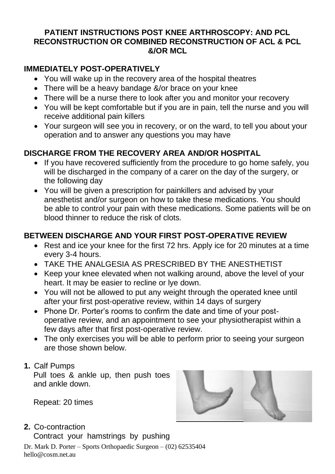### **PATIENT INSTRUCTIONS POST KNEE ARTHROSCOPY: AND PCL RECONSTRUCTION OR COMBINED RECONSTRUCTION OF ACL & PCL &/OR MCL**

## **IMMEDIATELY POST-OPERATIVELY**

- You will wake up in the recovery area of the hospital theatres
- There will be a heavy bandage &/or brace on your knee
- There will be a nurse there to look after you and monitor your recovery
- You will be kept comfortable but if you are in pain, tell the nurse and you will receive additional pain killers
- Your surgeon will see you in recovery, or on the ward, to tell you about your operation and to answer any questions you may have

## **DISCHARGE FROM THE RECOVERY AREA AND/OR HOSPITAL**

- If you have recovered sufficiently from the procedure to go home safely, you will be discharged in the company of a carer on the day of the surgery, or the following day
- You will be given a prescription for painkillers and advised by your anesthetist and/or surgeon on how to take these medications. You should be able to control your pain with these medications. Some patients will be on blood thinner to reduce the risk of clots.

### **BETWEEN DISCHARGE AND YOUR FIRST POST-OPERATIVE REVIEW**

- Rest and ice your knee for the first 72 hrs. Apply ice for 20 minutes at a time every 3-4 hours.
- TAKE THE ANALGESIA AS PRESCRIBED BY THE ANESTHETIST
- Keep your knee elevated when not walking around, above the level of your heart. It may be easier to recline or lye down.
- You will not be allowed to put any weight through the operated knee until after your first post-operative review, within 14 days of surgery
- Phone Dr. Porter's rooms to confirm the date and time of your postoperative review, and an appointment to see your physiotherapist within a few days after that first post-operative review.
- The only exercises you will be able to perform prior to seeing your surgeon are those shown below.
- **1.** Calf Pumps

Pull toes & ankle up, then push toes and ankle down.

Repeat: 20 times

**2.** Co-contraction

Contract your hamstrings by pushing

Dr. Mark D. Porter – Sports Orthopaedic Surgeon – (02) 62535404 hello@cosm.net.au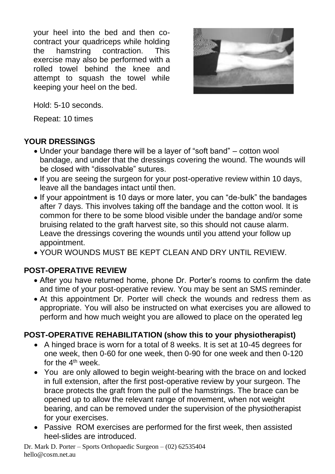your heel into the bed and then cocontract your quadriceps while holding the hamstring contraction. This exercise may also be performed with a rolled towel behind the knee and attempt to squash the towel while keeping your heel on the bed.



Hold: 5-10 seconds.

Repeat: 10 times

# **YOUR DRESSINGS**

- Under your bandage there will be a layer of "soft band" cotton wool bandage, and under that the dressings covering the wound. The wounds will be closed with "dissolvable" sutures.
- If you are seeing the surgeon for your post-operative review within 10 days, leave all the bandages intact until then.
- If your appointment is 10 days or more later, you can "de-bulk" the bandages after 7 days. This involves taking off the bandage and the cotton wool. It is common for there to be some blood visible under the bandage and/or some bruising related to the graft harvest site, so this should not cause alarm. Leave the dressings covering the wounds until you attend your follow up appointment.
- YOUR WOUNDS MUST BE KEPT CLEAN AND DRY UNTIL REVIEW.

# **POST-OPERATIVE REVIEW**

- After you have returned home, phone Dr. Porter's rooms to confirm the date and time of your post-operative review. You may be sent an SMS reminder.
- At this appointment Dr. Porter will check the wounds and redress them as appropriate. You will also be instructed on what exercises you are allowed to perform and how much weight you are allowed to place on the operated leg

# **POST-OPERATIVE REHABILITATION (show this to your physiotherapist)**

- A hinged brace is worn for a total of 8 weeks. It is set at 10-45 degrees for one week, then 0-60 for one week, then 0-90 for one week and then 0-120 for the  $4<sup>th</sup>$  week.
- You are only allowed to begin weight-bearing with the brace on and locked in full extension, after the first post-operative review by your surgeon. The brace protects the graft from the pull of the hamstrings. The brace can be opened up to allow the relevant range of movement, when not weight bearing, and can be removed under the supervision of the physiotherapist for your exercises.
- Passive ROM exercises are performed for the first week, then assisted heel-slides are introduced.